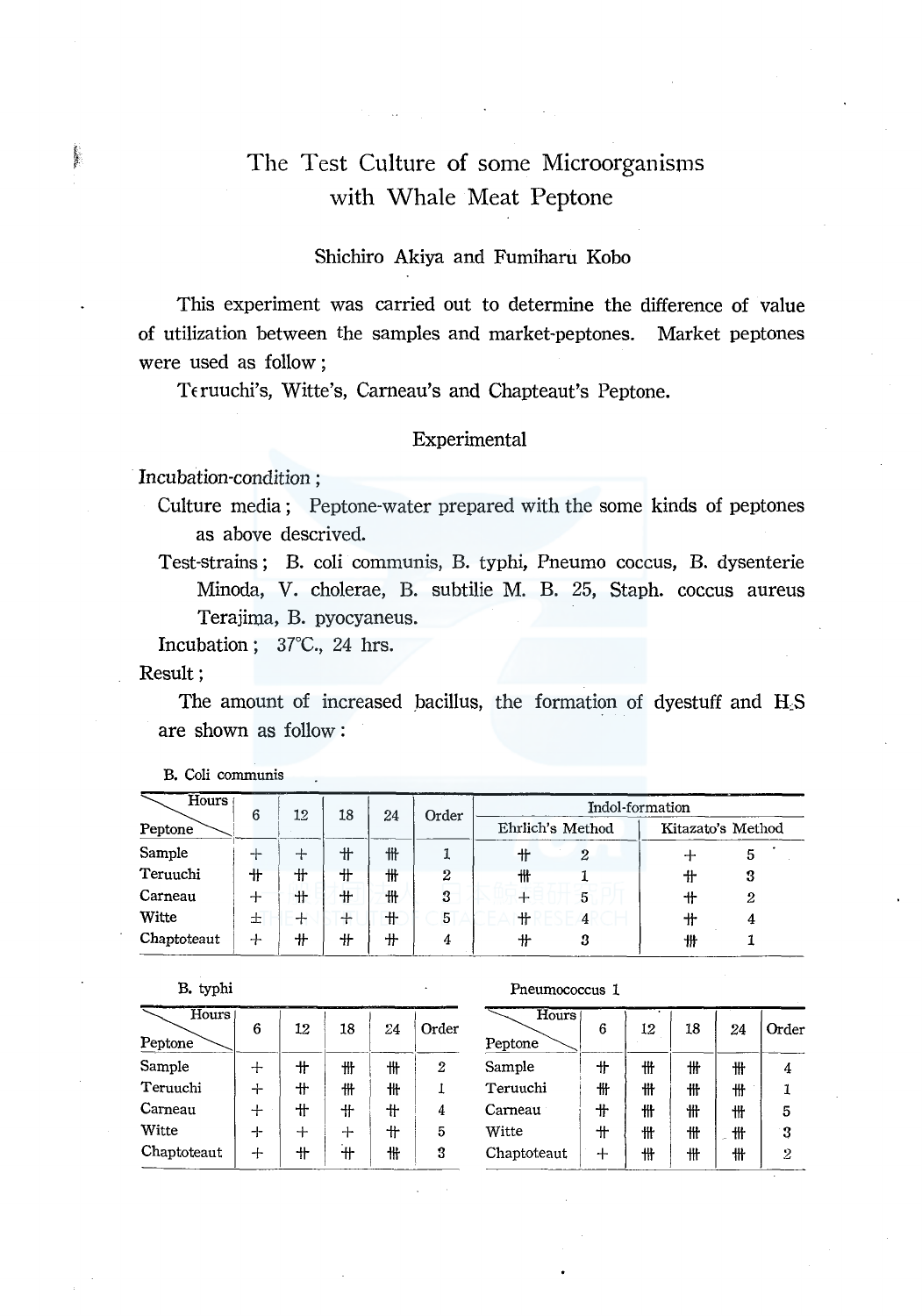## The Test Culture of some Microorganisms with Whale Meat Peptone

## Shichiro Akiya and Fumiharu Kobo

This experiment was carried out to determine the difference of value of utilization between the samples and market-peptones. Market peptones were used as follow;

Teruuchi's, Witte's, Carneau's and Chapteaut's Peptone.

## Experimental

Incubation-condition:

Culture media; Peptone-water prepared with the some kinds of peptones as above descrived.

Test-strains; B. coli communis, B. typhi, Pneumo coccus, B. dysenterie Minoda, V. cholerae, B. subtilie M. B. 25, Staph. coccus aureus Terajima, B. pyocyaneus.

Incubation; 37°C., 24 hrs.

## Result;

in 1989.<br>Protestant

The amount of increased bacillus, the formation of dyestuff and H<sub>S</sub> are shown as follow:

| Hours       | 6   | 12 | 18  | Indol-formation<br>Order<br>24 |   |   |                  |   |                   |
|-------------|-----|----|-----|--------------------------------|---|---|------------------|---|-------------------|
| Peptone     |     |    |     |                                |   |   | Ehrlich's Method |   | Kitazato's Method |
| Sample      | ┭   | ┿  | ╫   | 卌                              |   | ╫ | $\boldsymbol{2}$ |   | 5                 |
| Teruuchi    | 卄   | 卝  | 卄   | ₩                              | 2 | 卌 |                  | 卄 | 3                 |
| Carneau     | ┿   | 卄  | 卄   | ₩                              | 3 | ┿ | 5                | ᆘ | 2                 |
| Witte       | 士   | ┿  | $+$ | 卄                              | 5 |   | 4                | ╫ |                   |
| Chaptoteaut | $+$ | ╫  | ╫   | ╫                              | 4 | + | 3                | ₩ |                   |

B. Coli communis

B. typhi

| Hours <sup>1</sup><br>Peptone | 6 | 12     | 18     | 24 | Order |
|-------------------------------|---|--------|--------|----|-------|
| Sample                        |   | 卄      | 卌      | ₩  | 2     |
| Teruuchi                      | ┿ | $^+$   | ₩      | ₩  |       |
| Carneau                       | ┿ | $+$    | 卄      | ╫  | 4     |
| Witte                         |   | $^{+}$ | $+$    | 卄  | 5     |
| Chaptoteaut                   |   | 艹      | .<br>۳ | ₩  | 3     |

Pneumococcus 1

| Hours<br>Peptone | 6               | 12 | 18 | 24 | Order |
|------------------|-----------------|----|----|----|-------|
| Sample           | 卄               | 卌  | ₩  | ₩  | 4     |
| Teruuchi         | ₩               | ₩  | 卄  | ₩  | 1     |
| Carneau          | 卄               | ₩  | ₩  | 卄  | 5     |
| Witte            | $^{\mathrm{+}}$ | ₩  | ₩  | 卄  | 3     |
| Chaptoteaut      | ┿               | ₩  | ₩  | 卅  | 2     |